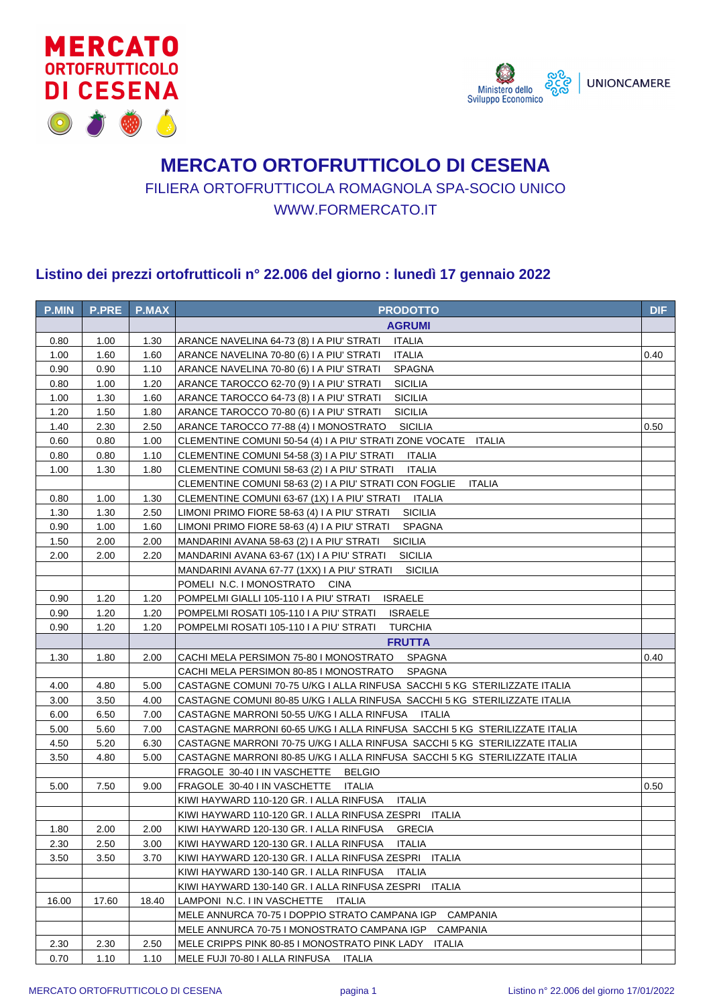



## **MERCATO ORTOFRUTTICOLO DI CESENA** FILIERA ORTOFRUTTICOLA ROMAGNOLA SPA-SOCIO UNICO WWW.FORMERCATO.IT

## **Listino dei prezzi ortofrutticoli n° 22.006 del giorno : lunedì 17 gennaio 2022**

| <b>PRODOTTO</b><br><b>AGRUMI</b><br><b>ITALIA</b><br>0.80<br>1.00<br>1.30<br>ARANCE NAVELINA 64-73 (8) I A PIU' STRATI<br><b>ITALIA</b><br>1.00<br>1.60<br>1.60<br>ARANCE NAVELINA 70-80 (6) I A PIU' STRATI<br>0.40<br>0.90<br>0.90<br>1.10<br>ARANCE NAVELINA 70-80 (6) I A PIU' STRATI<br><b>SPAGNA</b><br>0.80<br><b>SICILIA</b><br>1.00<br>1.20<br>ARANCE TAROCCO 62-70 (9) I A PIU' STRATI<br><b>SICILIA</b><br>1.00<br>1.30<br>1.60<br>ARANCE TAROCCO 64-73 (8) I A PIU' STRATI<br>1.20<br>1.50<br>1.80<br>ARANCE TAROCCO 70-80 (6) I A PIU' STRATI<br><b>SICILIA</b><br>1.40<br>2.30<br>2.50<br>ARANCE TAROCCO 77-88 (4) I MONOSTRATO<br><b>SICILIA</b><br>0.50<br>0.60<br>0.80<br>1.00<br>CLEMENTINE COMUNI 50-54 (4) I A PIU' STRATI ZONE VOCATE ITALIA<br>0.80<br>0.80<br>1.10<br><b>ITALIA</b><br>CLEMENTINE COMUNI 54-58 (3) I A PIU' STRATI<br>1.00<br>1.30<br>1.80<br><b>ITALIA</b><br>CLEMENTINE COMUNI 58-63 (2) I A PIU' STRATI<br>CLEMENTINE COMUNI 58-63 (2) I A PIU' STRATI CON FOGLIE<br><b>ITALIA</b><br>1.30<br>ITALIA<br>0.80<br>1.00<br>CLEMENTINE COMUNI 63-67 (1X) I A PIU' STRATI<br><b>SICILIA</b><br>1.30<br>1.30<br>2.50<br>LIMONI PRIMO FIORE 58-63 (4) I A PIU' STRATI<br>0.90<br>1.00<br>1.60<br>LIMONI PRIMO FIORE 58-63 (4) I A PIU' STRATI<br><b>SPAGNA</b><br>1.50<br>2.00<br>2.00<br><b>SICILIA</b><br>MANDARINI AVANA 58-63 (2) I A PIU' STRATI<br>2.00<br>2.00<br><b>SICILIA</b><br>2.20<br>MANDARINI AVANA 63-67 (1X) I A PIU' STRATI<br><b>SICILIA</b><br>MANDARINI AVANA 67-77 (1XX) I A PIU' STRATI<br>POMELI N.C. I MONOSTRATO CINA<br>0.90<br>1.20<br>1.20<br>POMPELMI GIALLI 105-110 I A PIU' STRATI<br><b>ISRAELE</b><br>0.90<br>1.20<br>1.20<br>POMPELMI ROSATI 105-110 I A PIU' STRATI ISRAELE<br>0.90<br>1.20<br>1.20<br>POMPELMI ROSATI 105-110 I A PIU' STRATI<br><b>TURCHIA</b><br><b>FRUTTA</b><br>CACHI MELA PERSIMON 75-80 I MONOSTRATO<br>1.30<br>1.80<br>2.00<br>SPAGNA<br>0.40<br>CACHI MELA PERSIMON 80-85 I MONOSTRATO SPAGNA<br>CASTAGNE COMUNI 70-75 U/KG I ALLA RINFUSA SACCHI 5 KG STERILIZZATE ITALIA<br>4.00<br>4.80<br>5.00<br>3.50<br>3.00<br>4.00<br>CASTAGNE COMUNI 80-85 U/KG I ALLA RINFUSA SACCHI 5 KG STERILIZZATE ITALIA<br>6.00<br>6.50<br>7.00<br>CASTAGNE MARRONI 50-55 U/KG I ALLA RINFUSA ITALIA<br>5.00<br>5.60<br>CASTAGNE MARRONI 60-65 U/KG I ALLA RINFUSA SACCHI 5 KG STERILIZZATE ITALIA<br>7.00<br>4.50<br>5.20<br>6.30<br>CASTAGNE MARRONI 70-75 U/KG I ALLA RINFUSA  SACCHI 5 KG  STERILIZZATE ITALIA<br>3.50<br>4.80<br>5.00<br>CASTAGNE MARRONI 80-85 U/KG I ALLA RINFUSA SACCHI 5 KG STERILIZZATE ITALIA<br>FRAGOLE 30-40 I IN VASCHETTE<br><b>BELGIO</b><br>5.00<br>7.50<br>FRAGOLE 30-40 I IN VASCHETTE<br><b>ITALIA</b><br>0.50<br>9.00<br>KIWI HAYWARD 110-120 GR. I ALLA RINFUSA<br><b>ITALIA</b><br>KIWI HAYWARD 110-120 GR. I ALLA RINFUSA ZESPRI ITALIA<br>1.80<br>2.00<br>2.00<br>KIWI HAYWARD 120-130 GR. I ALLA RINFUSA<br><b>GRECIA</b><br>2.30<br>2.50<br>3.00<br>KIWI HAYWARD 120-130 GR. I ALLA RINFUSA<br><b>ITALIA</b><br>3.50<br>3.50<br>3.70<br>KIWI HAYWARD 120-130 GR. I ALLA RINFUSA ZESPRI<br><b>ITALIA</b><br>KIWI HAYWARD 130-140 GR. I ALLA RINFUSA<br><b>ITALIA</b><br>KIWI HAYWARD 130-140 GR. I ALLA RINFUSA ZESPRI<br><b>ITALIA</b><br>17.60<br>LAMPONI N.C. I IN VASCHETTE<br>16.00<br>18.40<br>ITALIA<br>MELE ANNURCA 70-75 I DOPPIO STRATO CAMPANA IGP<br>CAMPANIA<br>MELE ANNURCA 70-75 I MONOSTRATO CAMPANA IGP<br>CAMPANIA<br>2.30<br>2.30<br>2.50<br>MELE CRIPPS PINK 80-85 I MONOSTRATO PINK LADY<br><b>ITALIA</b><br>0.70<br>1.10<br>MELE FUJI 70-80 I ALLA RINFUSA<br>1.10<br>ITALIA |              |              |              |            |
|------------------------------------------------------------------------------------------------------------------------------------------------------------------------------------------------------------------------------------------------------------------------------------------------------------------------------------------------------------------------------------------------------------------------------------------------------------------------------------------------------------------------------------------------------------------------------------------------------------------------------------------------------------------------------------------------------------------------------------------------------------------------------------------------------------------------------------------------------------------------------------------------------------------------------------------------------------------------------------------------------------------------------------------------------------------------------------------------------------------------------------------------------------------------------------------------------------------------------------------------------------------------------------------------------------------------------------------------------------------------------------------------------------------------------------------------------------------------------------------------------------------------------------------------------------------------------------------------------------------------------------------------------------------------------------------------------------------------------------------------------------------------------------------------------------------------------------------------------------------------------------------------------------------------------------------------------------------------------------------------------------------------------------------------------------------------------------------------------------------------------------------------------------------------------------------------------------------------------------------------------------------------------------------------------------------------------------------------------------------------------------------------------------------------------------------------------------------------------------------------------------------------------------------------------------------------------------------------------------------------------------------------------------------------------------------------------------------------------------------------------------------------------------------------------------------------------------------------------------------------------------------------------------------------------------------------------------------------------------------------------------------------------------------------------------------------------------------------------------------------------------------------------------------------------------------------------------------------------------------------------------------------------------------------------------------------------------------------------------------------------------------------------------------------------------------------------------------------------------------------------------------------------------------------------------------------------------------------------------------------------|--------------|--------------|--------------|------------|
|                                                                                                                                                                                                                                                                                                                                                                                                                                                                                                                                                                                                                                                                                                                                                                                                                                                                                                                                                                                                                                                                                                                                                                                                                                                                                                                                                                                                                                                                                                                                                                                                                                                                                                                                                                                                                                                                                                                                                                                                                                                                                                                                                                                                                                                                                                                                                                                                                                                                                                                                                                                                                                                                                                                                                                                                                                                                                                                                                                                                                                                                                                                                                                                                                                                                                                                                                                                                                                                                                                                                                                                                                              | <b>P.MIN</b> | <b>P.PRE</b> | <b>P.MAX</b> | <b>DIF</b> |
|                                                                                                                                                                                                                                                                                                                                                                                                                                                                                                                                                                                                                                                                                                                                                                                                                                                                                                                                                                                                                                                                                                                                                                                                                                                                                                                                                                                                                                                                                                                                                                                                                                                                                                                                                                                                                                                                                                                                                                                                                                                                                                                                                                                                                                                                                                                                                                                                                                                                                                                                                                                                                                                                                                                                                                                                                                                                                                                                                                                                                                                                                                                                                                                                                                                                                                                                                                                                                                                                                                                                                                                                                              |              |              |              |            |
|                                                                                                                                                                                                                                                                                                                                                                                                                                                                                                                                                                                                                                                                                                                                                                                                                                                                                                                                                                                                                                                                                                                                                                                                                                                                                                                                                                                                                                                                                                                                                                                                                                                                                                                                                                                                                                                                                                                                                                                                                                                                                                                                                                                                                                                                                                                                                                                                                                                                                                                                                                                                                                                                                                                                                                                                                                                                                                                                                                                                                                                                                                                                                                                                                                                                                                                                                                                                                                                                                                                                                                                                                              |              |              |              |            |
|                                                                                                                                                                                                                                                                                                                                                                                                                                                                                                                                                                                                                                                                                                                                                                                                                                                                                                                                                                                                                                                                                                                                                                                                                                                                                                                                                                                                                                                                                                                                                                                                                                                                                                                                                                                                                                                                                                                                                                                                                                                                                                                                                                                                                                                                                                                                                                                                                                                                                                                                                                                                                                                                                                                                                                                                                                                                                                                                                                                                                                                                                                                                                                                                                                                                                                                                                                                                                                                                                                                                                                                                                              |              |              |              |            |
|                                                                                                                                                                                                                                                                                                                                                                                                                                                                                                                                                                                                                                                                                                                                                                                                                                                                                                                                                                                                                                                                                                                                                                                                                                                                                                                                                                                                                                                                                                                                                                                                                                                                                                                                                                                                                                                                                                                                                                                                                                                                                                                                                                                                                                                                                                                                                                                                                                                                                                                                                                                                                                                                                                                                                                                                                                                                                                                                                                                                                                                                                                                                                                                                                                                                                                                                                                                                                                                                                                                                                                                                                              |              |              |              |            |
|                                                                                                                                                                                                                                                                                                                                                                                                                                                                                                                                                                                                                                                                                                                                                                                                                                                                                                                                                                                                                                                                                                                                                                                                                                                                                                                                                                                                                                                                                                                                                                                                                                                                                                                                                                                                                                                                                                                                                                                                                                                                                                                                                                                                                                                                                                                                                                                                                                                                                                                                                                                                                                                                                                                                                                                                                                                                                                                                                                                                                                                                                                                                                                                                                                                                                                                                                                                                                                                                                                                                                                                                                              |              |              |              |            |
|                                                                                                                                                                                                                                                                                                                                                                                                                                                                                                                                                                                                                                                                                                                                                                                                                                                                                                                                                                                                                                                                                                                                                                                                                                                                                                                                                                                                                                                                                                                                                                                                                                                                                                                                                                                                                                                                                                                                                                                                                                                                                                                                                                                                                                                                                                                                                                                                                                                                                                                                                                                                                                                                                                                                                                                                                                                                                                                                                                                                                                                                                                                                                                                                                                                                                                                                                                                                                                                                                                                                                                                                                              |              |              |              |            |
|                                                                                                                                                                                                                                                                                                                                                                                                                                                                                                                                                                                                                                                                                                                                                                                                                                                                                                                                                                                                                                                                                                                                                                                                                                                                                                                                                                                                                                                                                                                                                                                                                                                                                                                                                                                                                                                                                                                                                                                                                                                                                                                                                                                                                                                                                                                                                                                                                                                                                                                                                                                                                                                                                                                                                                                                                                                                                                                                                                                                                                                                                                                                                                                                                                                                                                                                                                                                                                                                                                                                                                                                                              |              |              |              |            |
|                                                                                                                                                                                                                                                                                                                                                                                                                                                                                                                                                                                                                                                                                                                                                                                                                                                                                                                                                                                                                                                                                                                                                                                                                                                                                                                                                                                                                                                                                                                                                                                                                                                                                                                                                                                                                                                                                                                                                                                                                                                                                                                                                                                                                                                                                                                                                                                                                                                                                                                                                                                                                                                                                                                                                                                                                                                                                                                                                                                                                                                                                                                                                                                                                                                                                                                                                                                                                                                                                                                                                                                                                              |              |              |              |            |
|                                                                                                                                                                                                                                                                                                                                                                                                                                                                                                                                                                                                                                                                                                                                                                                                                                                                                                                                                                                                                                                                                                                                                                                                                                                                                                                                                                                                                                                                                                                                                                                                                                                                                                                                                                                                                                                                                                                                                                                                                                                                                                                                                                                                                                                                                                                                                                                                                                                                                                                                                                                                                                                                                                                                                                                                                                                                                                                                                                                                                                                                                                                                                                                                                                                                                                                                                                                                                                                                                                                                                                                                                              |              |              |              |            |
|                                                                                                                                                                                                                                                                                                                                                                                                                                                                                                                                                                                                                                                                                                                                                                                                                                                                                                                                                                                                                                                                                                                                                                                                                                                                                                                                                                                                                                                                                                                                                                                                                                                                                                                                                                                                                                                                                                                                                                                                                                                                                                                                                                                                                                                                                                                                                                                                                                                                                                                                                                                                                                                                                                                                                                                                                                                                                                                                                                                                                                                                                                                                                                                                                                                                                                                                                                                                                                                                                                                                                                                                                              |              |              |              |            |
|                                                                                                                                                                                                                                                                                                                                                                                                                                                                                                                                                                                                                                                                                                                                                                                                                                                                                                                                                                                                                                                                                                                                                                                                                                                                                                                                                                                                                                                                                                                                                                                                                                                                                                                                                                                                                                                                                                                                                                                                                                                                                                                                                                                                                                                                                                                                                                                                                                                                                                                                                                                                                                                                                                                                                                                                                                                                                                                                                                                                                                                                                                                                                                                                                                                                                                                                                                                                                                                                                                                                                                                                                              |              |              |              |            |
|                                                                                                                                                                                                                                                                                                                                                                                                                                                                                                                                                                                                                                                                                                                                                                                                                                                                                                                                                                                                                                                                                                                                                                                                                                                                                                                                                                                                                                                                                                                                                                                                                                                                                                                                                                                                                                                                                                                                                                                                                                                                                                                                                                                                                                                                                                                                                                                                                                                                                                                                                                                                                                                                                                                                                                                                                                                                                                                                                                                                                                                                                                                                                                                                                                                                                                                                                                                                                                                                                                                                                                                                                              |              |              |              |            |
|                                                                                                                                                                                                                                                                                                                                                                                                                                                                                                                                                                                                                                                                                                                                                                                                                                                                                                                                                                                                                                                                                                                                                                                                                                                                                                                                                                                                                                                                                                                                                                                                                                                                                                                                                                                                                                                                                                                                                                                                                                                                                                                                                                                                                                                                                                                                                                                                                                                                                                                                                                                                                                                                                                                                                                                                                                                                                                                                                                                                                                                                                                                                                                                                                                                                                                                                                                                                                                                                                                                                                                                                                              |              |              |              |            |
|                                                                                                                                                                                                                                                                                                                                                                                                                                                                                                                                                                                                                                                                                                                                                                                                                                                                                                                                                                                                                                                                                                                                                                                                                                                                                                                                                                                                                                                                                                                                                                                                                                                                                                                                                                                                                                                                                                                                                                                                                                                                                                                                                                                                                                                                                                                                                                                                                                                                                                                                                                                                                                                                                                                                                                                                                                                                                                                                                                                                                                                                                                                                                                                                                                                                                                                                                                                                                                                                                                                                                                                                                              |              |              |              |            |
|                                                                                                                                                                                                                                                                                                                                                                                                                                                                                                                                                                                                                                                                                                                                                                                                                                                                                                                                                                                                                                                                                                                                                                                                                                                                                                                                                                                                                                                                                                                                                                                                                                                                                                                                                                                                                                                                                                                                                                                                                                                                                                                                                                                                                                                                                                                                                                                                                                                                                                                                                                                                                                                                                                                                                                                                                                                                                                                                                                                                                                                                                                                                                                                                                                                                                                                                                                                                                                                                                                                                                                                                                              |              |              |              |            |
|                                                                                                                                                                                                                                                                                                                                                                                                                                                                                                                                                                                                                                                                                                                                                                                                                                                                                                                                                                                                                                                                                                                                                                                                                                                                                                                                                                                                                                                                                                                                                                                                                                                                                                                                                                                                                                                                                                                                                                                                                                                                                                                                                                                                                                                                                                                                                                                                                                                                                                                                                                                                                                                                                                                                                                                                                                                                                                                                                                                                                                                                                                                                                                                                                                                                                                                                                                                                                                                                                                                                                                                                                              |              |              |              |            |
|                                                                                                                                                                                                                                                                                                                                                                                                                                                                                                                                                                                                                                                                                                                                                                                                                                                                                                                                                                                                                                                                                                                                                                                                                                                                                                                                                                                                                                                                                                                                                                                                                                                                                                                                                                                                                                                                                                                                                                                                                                                                                                                                                                                                                                                                                                                                                                                                                                                                                                                                                                                                                                                                                                                                                                                                                                                                                                                                                                                                                                                                                                                                                                                                                                                                                                                                                                                                                                                                                                                                                                                                                              |              |              |              |            |
|                                                                                                                                                                                                                                                                                                                                                                                                                                                                                                                                                                                                                                                                                                                                                                                                                                                                                                                                                                                                                                                                                                                                                                                                                                                                                                                                                                                                                                                                                                                                                                                                                                                                                                                                                                                                                                                                                                                                                                                                                                                                                                                                                                                                                                                                                                                                                                                                                                                                                                                                                                                                                                                                                                                                                                                                                                                                                                                                                                                                                                                                                                                                                                                                                                                                                                                                                                                                                                                                                                                                                                                                                              |              |              |              |            |
|                                                                                                                                                                                                                                                                                                                                                                                                                                                                                                                                                                                                                                                                                                                                                                                                                                                                                                                                                                                                                                                                                                                                                                                                                                                                                                                                                                                                                                                                                                                                                                                                                                                                                                                                                                                                                                                                                                                                                                                                                                                                                                                                                                                                                                                                                                                                                                                                                                                                                                                                                                                                                                                                                                                                                                                                                                                                                                                                                                                                                                                                                                                                                                                                                                                                                                                                                                                                                                                                                                                                                                                                                              |              |              |              |            |
|                                                                                                                                                                                                                                                                                                                                                                                                                                                                                                                                                                                                                                                                                                                                                                                                                                                                                                                                                                                                                                                                                                                                                                                                                                                                                                                                                                                                                                                                                                                                                                                                                                                                                                                                                                                                                                                                                                                                                                                                                                                                                                                                                                                                                                                                                                                                                                                                                                                                                                                                                                                                                                                                                                                                                                                                                                                                                                                                                                                                                                                                                                                                                                                                                                                                                                                                                                                                                                                                                                                                                                                                                              |              |              |              |            |
|                                                                                                                                                                                                                                                                                                                                                                                                                                                                                                                                                                                                                                                                                                                                                                                                                                                                                                                                                                                                                                                                                                                                                                                                                                                                                                                                                                                                                                                                                                                                                                                                                                                                                                                                                                                                                                                                                                                                                                                                                                                                                                                                                                                                                                                                                                                                                                                                                                                                                                                                                                                                                                                                                                                                                                                                                                                                                                                                                                                                                                                                                                                                                                                                                                                                                                                                                                                                                                                                                                                                                                                                                              |              |              |              |            |
|                                                                                                                                                                                                                                                                                                                                                                                                                                                                                                                                                                                                                                                                                                                                                                                                                                                                                                                                                                                                                                                                                                                                                                                                                                                                                                                                                                                                                                                                                                                                                                                                                                                                                                                                                                                                                                                                                                                                                                                                                                                                                                                                                                                                                                                                                                                                                                                                                                                                                                                                                                                                                                                                                                                                                                                                                                                                                                                                                                                                                                                                                                                                                                                                                                                                                                                                                                                                                                                                                                                                                                                                                              |              |              |              |            |
|                                                                                                                                                                                                                                                                                                                                                                                                                                                                                                                                                                                                                                                                                                                                                                                                                                                                                                                                                                                                                                                                                                                                                                                                                                                                                                                                                                                                                                                                                                                                                                                                                                                                                                                                                                                                                                                                                                                                                                                                                                                                                                                                                                                                                                                                                                                                                                                                                                                                                                                                                                                                                                                                                                                                                                                                                                                                                                                                                                                                                                                                                                                                                                                                                                                                                                                                                                                                                                                                                                                                                                                                                              |              |              |              |            |
|                                                                                                                                                                                                                                                                                                                                                                                                                                                                                                                                                                                                                                                                                                                                                                                                                                                                                                                                                                                                                                                                                                                                                                                                                                                                                                                                                                                                                                                                                                                                                                                                                                                                                                                                                                                                                                                                                                                                                                                                                                                                                                                                                                                                                                                                                                                                                                                                                                                                                                                                                                                                                                                                                                                                                                                                                                                                                                                                                                                                                                                                                                                                                                                                                                                                                                                                                                                                                                                                                                                                                                                                                              |              |              |              |            |
|                                                                                                                                                                                                                                                                                                                                                                                                                                                                                                                                                                                                                                                                                                                                                                                                                                                                                                                                                                                                                                                                                                                                                                                                                                                                                                                                                                                                                                                                                                                                                                                                                                                                                                                                                                                                                                                                                                                                                                                                                                                                                                                                                                                                                                                                                                                                                                                                                                                                                                                                                                                                                                                                                                                                                                                                                                                                                                                                                                                                                                                                                                                                                                                                                                                                                                                                                                                                                                                                                                                                                                                                                              |              |              |              |            |
|                                                                                                                                                                                                                                                                                                                                                                                                                                                                                                                                                                                                                                                                                                                                                                                                                                                                                                                                                                                                                                                                                                                                                                                                                                                                                                                                                                                                                                                                                                                                                                                                                                                                                                                                                                                                                                                                                                                                                                                                                                                                                                                                                                                                                                                                                                                                                                                                                                                                                                                                                                                                                                                                                                                                                                                                                                                                                                                                                                                                                                                                                                                                                                                                                                                                                                                                                                                                                                                                                                                                                                                                                              |              |              |              |            |
|                                                                                                                                                                                                                                                                                                                                                                                                                                                                                                                                                                                                                                                                                                                                                                                                                                                                                                                                                                                                                                                                                                                                                                                                                                                                                                                                                                                                                                                                                                                                                                                                                                                                                                                                                                                                                                                                                                                                                                                                                                                                                                                                                                                                                                                                                                                                                                                                                                                                                                                                                                                                                                                                                                                                                                                                                                                                                                                                                                                                                                                                                                                                                                                                                                                                                                                                                                                                                                                                                                                                                                                                                              |              |              |              |            |
|                                                                                                                                                                                                                                                                                                                                                                                                                                                                                                                                                                                                                                                                                                                                                                                                                                                                                                                                                                                                                                                                                                                                                                                                                                                                                                                                                                                                                                                                                                                                                                                                                                                                                                                                                                                                                                                                                                                                                                                                                                                                                                                                                                                                                                                                                                                                                                                                                                                                                                                                                                                                                                                                                                                                                                                                                                                                                                                                                                                                                                                                                                                                                                                                                                                                                                                                                                                                                                                                                                                                                                                                                              |              |              |              |            |
|                                                                                                                                                                                                                                                                                                                                                                                                                                                                                                                                                                                                                                                                                                                                                                                                                                                                                                                                                                                                                                                                                                                                                                                                                                                                                                                                                                                                                                                                                                                                                                                                                                                                                                                                                                                                                                                                                                                                                                                                                                                                                                                                                                                                                                                                                                                                                                                                                                                                                                                                                                                                                                                                                                                                                                                                                                                                                                                                                                                                                                                                                                                                                                                                                                                                                                                                                                                                                                                                                                                                                                                                                              |              |              |              |            |
|                                                                                                                                                                                                                                                                                                                                                                                                                                                                                                                                                                                                                                                                                                                                                                                                                                                                                                                                                                                                                                                                                                                                                                                                                                                                                                                                                                                                                                                                                                                                                                                                                                                                                                                                                                                                                                                                                                                                                                                                                                                                                                                                                                                                                                                                                                                                                                                                                                                                                                                                                                                                                                                                                                                                                                                                                                                                                                                                                                                                                                                                                                                                                                                                                                                                                                                                                                                                                                                                                                                                                                                                                              |              |              |              |            |
|                                                                                                                                                                                                                                                                                                                                                                                                                                                                                                                                                                                                                                                                                                                                                                                                                                                                                                                                                                                                                                                                                                                                                                                                                                                                                                                                                                                                                                                                                                                                                                                                                                                                                                                                                                                                                                                                                                                                                                                                                                                                                                                                                                                                                                                                                                                                                                                                                                                                                                                                                                                                                                                                                                                                                                                                                                                                                                                                                                                                                                                                                                                                                                                                                                                                                                                                                                                                                                                                                                                                                                                                                              |              |              |              |            |
|                                                                                                                                                                                                                                                                                                                                                                                                                                                                                                                                                                                                                                                                                                                                                                                                                                                                                                                                                                                                                                                                                                                                                                                                                                                                                                                                                                                                                                                                                                                                                                                                                                                                                                                                                                                                                                                                                                                                                                                                                                                                                                                                                                                                                                                                                                                                                                                                                                                                                                                                                                                                                                                                                                                                                                                                                                                                                                                                                                                                                                                                                                                                                                                                                                                                                                                                                                                                                                                                                                                                                                                                                              |              |              |              |            |
|                                                                                                                                                                                                                                                                                                                                                                                                                                                                                                                                                                                                                                                                                                                                                                                                                                                                                                                                                                                                                                                                                                                                                                                                                                                                                                                                                                                                                                                                                                                                                                                                                                                                                                                                                                                                                                                                                                                                                                                                                                                                                                                                                                                                                                                                                                                                                                                                                                                                                                                                                                                                                                                                                                                                                                                                                                                                                                                                                                                                                                                                                                                                                                                                                                                                                                                                                                                                                                                                                                                                                                                                                              |              |              |              |            |
|                                                                                                                                                                                                                                                                                                                                                                                                                                                                                                                                                                                                                                                                                                                                                                                                                                                                                                                                                                                                                                                                                                                                                                                                                                                                                                                                                                                                                                                                                                                                                                                                                                                                                                                                                                                                                                                                                                                                                                                                                                                                                                                                                                                                                                                                                                                                                                                                                                                                                                                                                                                                                                                                                                                                                                                                                                                                                                                                                                                                                                                                                                                                                                                                                                                                                                                                                                                                                                                                                                                                                                                                                              |              |              |              |            |
|                                                                                                                                                                                                                                                                                                                                                                                                                                                                                                                                                                                                                                                                                                                                                                                                                                                                                                                                                                                                                                                                                                                                                                                                                                                                                                                                                                                                                                                                                                                                                                                                                                                                                                                                                                                                                                                                                                                                                                                                                                                                                                                                                                                                                                                                                                                                                                                                                                                                                                                                                                                                                                                                                                                                                                                                                                                                                                                                                                                                                                                                                                                                                                                                                                                                                                                                                                                                                                                                                                                                                                                                                              |              |              |              |            |
|                                                                                                                                                                                                                                                                                                                                                                                                                                                                                                                                                                                                                                                                                                                                                                                                                                                                                                                                                                                                                                                                                                                                                                                                                                                                                                                                                                                                                                                                                                                                                                                                                                                                                                                                                                                                                                                                                                                                                                                                                                                                                                                                                                                                                                                                                                                                                                                                                                                                                                                                                                                                                                                                                                                                                                                                                                                                                                                                                                                                                                                                                                                                                                                                                                                                                                                                                                                                                                                                                                                                                                                                                              |              |              |              |            |
|                                                                                                                                                                                                                                                                                                                                                                                                                                                                                                                                                                                                                                                                                                                                                                                                                                                                                                                                                                                                                                                                                                                                                                                                                                                                                                                                                                                                                                                                                                                                                                                                                                                                                                                                                                                                                                                                                                                                                                                                                                                                                                                                                                                                                                                                                                                                                                                                                                                                                                                                                                                                                                                                                                                                                                                                                                                                                                                                                                                                                                                                                                                                                                                                                                                                                                                                                                                                                                                                                                                                                                                                                              |              |              |              |            |
|                                                                                                                                                                                                                                                                                                                                                                                                                                                                                                                                                                                                                                                                                                                                                                                                                                                                                                                                                                                                                                                                                                                                                                                                                                                                                                                                                                                                                                                                                                                                                                                                                                                                                                                                                                                                                                                                                                                                                                                                                                                                                                                                                                                                                                                                                                                                                                                                                                                                                                                                                                                                                                                                                                                                                                                                                                                                                                                                                                                                                                                                                                                                                                                                                                                                                                                                                                                                                                                                                                                                                                                                                              |              |              |              |            |
|                                                                                                                                                                                                                                                                                                                                                                                                                                                                                                                                                                                                                                                                                                                                                                                                                                                                                                                                                                                                                                                                                                                                                                                                                                                                                                                                                                                                                                                                                                                                                                                                                                                                                                                                                                                                                                                                                                                                                                                                                                                                                                                                                                                                                                                                                                                                                                                                                                                                                                                                                                                                                                                                                                                                                                                                                                                                                                                                                                                                                                                                                                                                                                                                                                                                                                                                                                                                                                                                                                                                                                                                                              |              |              |              |            |
|                                                                                                                                                                                                                                                                                                                                                                                                                                                                                                                                                                                                                                                                                                                                                                                                                                                                                                                                                                                                                                                                                                                                                                                                                                                                                                                                                                                                                                                                                                                                                                                                                                                                                                                                                                                                                                                                                                                                                                                                                                                                                                                                                                                                                                                                                                                                                                                                                                                                                                                                                                                                                                                                                                                                                                                                                                                                                                                                                                                                                                                                                                                                                                                                                                                                                                                                                                                                                                                                                                                                                                                                                              |              |              |              |            |
|                                                                                                                                                                                                                                                                                                                                                                                                                                                                                                                                                                                                                                                                                                                                                                                                                                                                                                                                                                                                                                                                                                                                                                                                                                                                                                                                                                                                                                                                                                                                                                                                                                                                                                                                                                                                                                                                                                                                                                                                                                                                                                                                                                                                                                                                                                                                                                                                                                                                                                                                                                                                                                                                                                                                                                                                                                                                                                                                                                                                                                                                                                                                                                                                                                                                                                                                                                                                                                                                                                                                                                                                                              |              |              |              |            |
|                                                                                                                                                                                                                                                                                                                                                                                                                                                                                                                                                                                                                                                                                                                                                                                                                                                                                                                                                                                                                                                                                                                                                                                                                                                                                                                                                                                                                                                                                                                                                                                                                                                                                                                                                                                                                                                                                                                                                                                                                                                                                                                                                                                                                                                                                                                                                                                                                                                                                                                                                                                                                                                                                                                                                                                                                                                                                                                                                                                                                                                                                                                                                                                                                                                                                                                                                                                                                                                                                                                                                                                                                              |              |              |              |            |
|                                                                                                                                                                                                                                                                                                                                                                                                                                                                                                                                                                                                                                                                                                                                                                                                                                                                                                                                                                                                                                                                                                                                                                                                                                                                                                                                                                                                                                                                                                                                                                                                                                                                                                                                                                                                                                                                                                                                                                                                                                                                                                                                                                                                                                                                                                                                                                                                                                                                                                                                                                                                                                                                                                                                                                                                                                                                                                                                                                                                                                                                                                                                                                                                                                                                                                                                                                                                                                                                                                                                                                                                                              |              |              |              |            |
|                                                                                                                                                                                                                                                                                                                                                                                                                                                                                                                                                                                                                                                                                                                                                                                                                                                                                                                                                                                                                                                                                                                                                                                                                                                                                                                                                                                                                                                                                                                                                                                                                                                                                                                                                                                                                                                                                                                                                                                                                                                                                                                                                                                                                                                                                                                                                                                                                                                                                                                                                                                                                                                                                                                                                                                                                                                                                                                                                                                                                                                                                                                                                                                                                                                                                                                                                                                                                                                                                                                                                                                                                              |              |              |              |            |
|                                                                                                                                                                                                                                                                                                                                                                                                                                                                                                                                                                                                                                                                                                                                                                                                                                                                                                                                                                                                                                                                                                                                                                                                                                                                                                                                                                                                                                                                                                                                                                                                                                                                                                                                                                                                                                                                                                                                                                                                                                                                                                                                                                                                                                                                                                                                                                                                                                                                                                                                                                                                                                                                                                                                                                                                                                                                                                                                                                                                                                                                                                                                                                                                                                                                                                                                                                                                                                                                                                                                                                                                                              |              |              |              |            |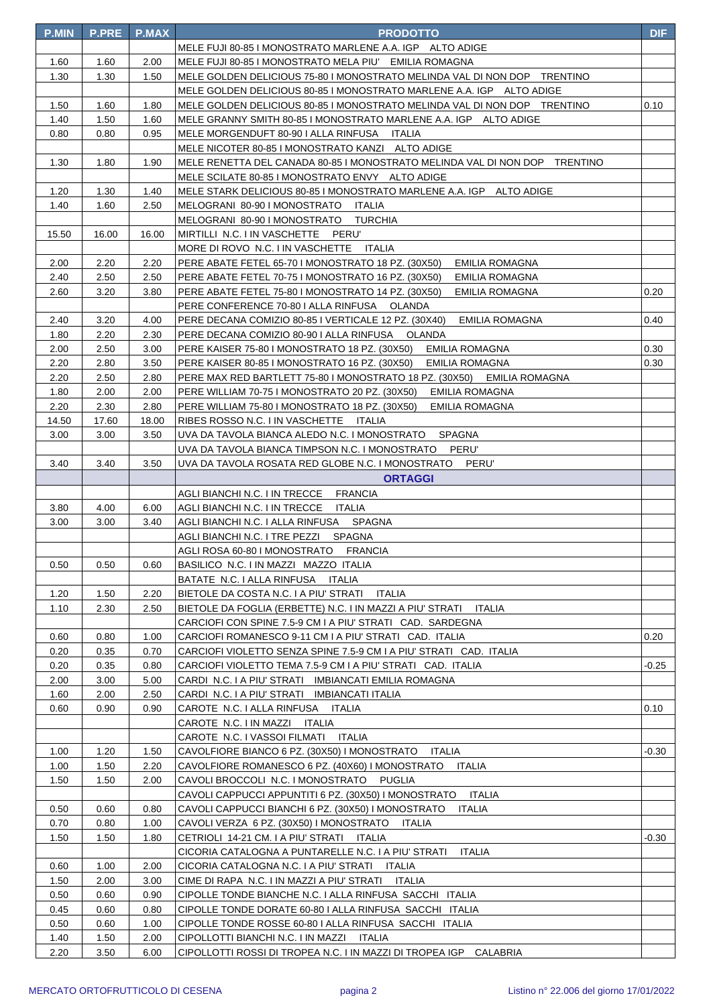| <b>P.MIN</b> | <b>P.PRE</b> | <b>P.MAX</b> | <b>PRODOTTO</b>                                                            | <b>DIF</b> |
|--------------|--------------|--------------|----------------------------------------------------------------------------|------------|
|              |              |              | MELE FUJI 80-85 I MONOSTRATO MARLENE A.A. IGP ALTO ADIGE                   |            |
| 1.60         | 1.60         | 2.00         | MELE FUJI 80-85 I MONOSTRATO MELA PIU' EMILIA ROMAGNA                      |            |
| 1.30         | 1.30         | 1.50         | MELE GOLDEN DELICIOUS 75-80 I MONOSTRATO MELINDA VAL DI NON DOP TRENTINO   |            |
|              |              |              | MELE GOLDEN DELICIOUS 80-85 I MONOSTRATO MARLENE A.A. IGP ALTO ADIGE       |            |
| 1.50         | 1.60         | 1.80         | MELE GOLDEN DELICIOUS 80-85 I MONOSTRATO MELINDA VAL DI NON DOP TRENTINO   | 0.10       |
| 1.40         | 1.50         | 1.60         | MELE GRANNY SMITH 80-85 I MONOSTRATO MARLENE A.A. IGP ALTO ADIGE           |            |
| 0.80         | 0.80         | 0.95         | MELE MORGENDUFT 80-90   ALLA RINFUSA ITALIA                                |            |
|              |              |              | MELE NICOTER 80-85 I MONOSTRATO KANZI ALTO ADIGE                           |            |
| 1.30         | 1.80         | 1.90         | MELE RENETTA DEL CANADA 80-85 I MONOSTRATO MELINDA VAL DI NON DOP TRENTINO |            |
|              |              |              | MELE SCILATE 80-85 I MONOSTRATO ENVY ALTO ADIGE                            |            |
| 1.20         | 1.30         | 1.40         | MELE STARK DELICIOUS 80-85 I MONOSTRATO MARLENE A.A. IGP ALTO ADIGE        |            |
| 1.40         | 1.60         | 2.50         | MELOGRANI 80-90 I MONOSTRATO ITALIA                                        |            |
|              |              |              | MELOGRANI 80-90 I MONOSTRATO TURCHIA                                       |            |
| 15.50        | 16.00        | 16.00        | MIRTILLI N.C. I IN VASCHETTE PERU'                                         |            |
|              |              |              | MORE DI ROVO N.C. I IN VASCHETTE ITALIA                                    |            |
| 2.00         | 2.20         | 2.20         | PERE ABATE FETEL 65-70 I MONOSTRATO 18 PZ. (30X50)<br>EMILIA ROMAGNA       |            |
| 2.40         | 2.50         | 2.50         | PERE ABATE FETEL 70-75 I MONOSTRATO 16 PZ. (30X50)<br>EMILIA ROMAGNA       |            |
| 2.60         | 3.20         | 3.80         | PERE ABATE FETEL 75-80 I MONOSTRATO 14 PZ. (30X50)<br>EMILIA ROMAGNA       | 0.20       |
|              |              |              | PERE CONFERENCE 70-80   ALLA RINFUSA OLANDA                                |            |
| 2.40         | 3.20         | 4.00         | PERE DECANA COMIZIO 80-85 I VERTICALE 12 PZ. (30X40)<br>EMILIA ROMAGNA     | 0.40       |
| 1.80         | 2.20         | 2.30         | PERE DECANA COMIZIO 80-90 I ALLA RINFUSA OLANDA                            |            |
| 2.00         | 2.50         | 3.00         | PERE KAISER 75-80 I MONOSTRATO 18 PZ. (30X50)<br>EMILIA ROMAGNA            | 0.30       |
| 2.20         | 2.80         | 3.50         | PERE KAISER 80-85 I MONOSTRATO 16 PZ. (30X50)<br>EMILIA ROMAGNA            | 0.30       |
| 2.20         | 2.50         | 2.80         | PERE MAX RED BARTLETT 75-80 I MONOSTRATO 18 PZ. (30X50) EMILIA ROMAGNA     |            |
| 1.80         | 2.00         | 2.00         | PERE WILLIAM 70-75 I MONOSTRATO 20 PZ. (30X50)<br>EMILIA ROMAGNA           |            |
| 2.20         | 2.30         | 2.80         | PERE WILLIAM 75-80 I MONOSTRATO 18 PZ. (30X50)<br>EMILIA ROMAGNA           |            |
| 14.50        | 17.60        | 18.00        | RIBES ROSSO N.C. I IN VASCHETTE ITALIA                                     |            |
| 3.00         | 3.00         | 3.50         | SPAGNA<br>UVA DA TAVOLA BIANCA ALEDO N.C. I MONOSTRATO                     |            |
|              |              |              | PERU'<br>UVA DA TAVOLA BIANCA TIMPSON N.C. I MONOSTRATO                    |            |
| 3.40         | 3.40         | 3.50         | UVA DA TAVOLA ROSATA RED GLOBE N.C. I MONOSTRATO PERU'                     |            |
|              |              |              | <b>ORTAGGI</b>                                                             |            |
|              |              |              | AGLI BIANCHI N.C. I IN TRECCE FRANCIA                                      |            |
| 3.80         | 4.00         | 6.00         | AGLI BIANCHI N.C. I IN TRECCE ITALIA                                       |            |
| 3.00         | 3.00         | 3.40         | AGLI BIANCHI N.C. I ALLA RINFUSA SPAGNA                                    |            |
|              |              |              | AGLI BIANCHI N.C. I TRE PEZZI<br>SPAGNA                                    |            |
|              |              |              | AGLI ROSA 60-80 I MONOSTRATO<br><b>FRANCIA</b>                             |            |
| 0.50         | 0.50         | 0.60         | BASILICO N.C. I IN MAZZI MAZZO ITALIA                                      |            |
|              |              |              | BATATE N.C. I ALLA RINFUSA ITALIA                                          |            |
| 1.20         | 1.50         | 2.20         | BIETOLE DA COSTA N.C. I A PIU' STRATI<br>ITALIA                            |            |
| 1.10         | 2.30         | 2.50         | BIETOLE DA FOGLIA (ERBETTE) N.C. I IN MAZZI A PIU' STRATI<br>ITALIA        |            |
|              |              |              | CARCIOFI CON SPINE 7.5-9 CM I A PIU' STRATI CAD. SARDEGNA                  |            |
| 0.60         | 0.80         | 1.00         | CARCIOFI ROMANESCO 9-11 CM I A PIU' STRATI CAD. ITALIA                     | 0.20       |
| 0.20         | 0.35         | 0.70         | CARCIOFI VIOLETTO SENZA SPINE 7.5-9 CM I A PIU' STRATI CAD. ITALIA         |            |
| 0.20         | 0.35         | 0.80         | CARCIOFI VIOLETTO TEMA 7.5-9 CM I A PIU' STRATI CAD. ITALIA                | -0.25      |
| 2.00         | 3.00         | 5.00         | CARDI N.C. I A PIU' STRATI IMBIANCATI EMILIA ROMAGNA                       |            |
| 1.60         | 2.00         | 2.50         | CARDI N.C. I A PIU' STRATI IMBIANCATI ITALIA                               |            |
| 0.60         | 0.90         | 0.90         | CAROTE N.C. I ALLA RINFUSA ITALIA                                          | 0.10       |
|              |              |              | CAROTE N.C. I IN MAZZI ITALIA                                              |            |
|              |              |              | CAROTE N.C. I VASSOI FILMATI ITALIA                                        |            |
| 1.00         | 1.20         | 1.50         | CAVOLFIORE BIANCO 6 PZ. (30X50) I MONOSTRATO<br>ITALIA                     | -0.30      |
| 1.00         | 1.50         | 2.20         | CAVOLFIORE ROMANESCO 6 PZ. (40X60) I MONOSTRATO<br>ITALIA                  |            |
| 1.50         | 1.50         | 2.00         | CAVOLI BROCCOLI N.C. I MONOSTRATO<br>PUGLIA                                |            |
|              |              |              | CAVOLI CAPPUCCI APPUNTITI 6 PZ. (30X50) I MONOSTRATO<br>ITALIA             |            |
| 0.50         | 0.60         | 0.80         | CAVOLI CAPPUCCI BIANCHI 6 PZ. (30X50) I MONOSTRATO<br>ITALIA               |            |
| 0.70         | 0.80         | 1.00         | CAVOLI VERZA 6 PZ. (30X50) I MONOSTRATO ITALIA                             |            |
| 1.50         | 1.50         | 1.80         | CETRIOLI 14-21 CM. I A PIU' STRATI ITALIA                                  | -0.30      |
|              |              |              | CICORIA CATALOGNA A PUNTARELLE N.C. I A PIU' STRATI<br>ITALIA              |            |
| 0.60         | 1.00         | 2.00         | CICORIA CATALOGNA N.C. I A PIU' STRATI ITALIA                              |            |
| 1.50         | 2.00         | 3.00         | CIME DI RAPA N.C. I IN MAZZI A PIU' STRATI ITALIA                          |            |
| 0.50         | 0.60         | 0.90         | CIPOLLE TONDE BIANCHE N.C. I ALLA RINFUSA SACCHI ITALIA                    |            |
| 0.45         | 0.60         | 0.80         | CIPOLLE TONDE DORATE 60-80 I ALLA RINFUSA SACCHI ITALIA                    |            |
| 0.50         | 0.60         | 1.00         | CIPOLLE TONDE ROSSE 60-80 I ALLA RINFUSA SACCHI ITALIA                     |            |
| 1.40         | 1.50         | 2.00         | CIPOLLOTTI BIANCHI N.C. I IN MAZZI<br>ITALIA                               |            |
| 2.20         | 3.50         | 6.00         | CIPOLLOTTI ROSSI DI TROPEA N.C. I IN MAZZI DI TROPEA IGP CALABRIA          |            |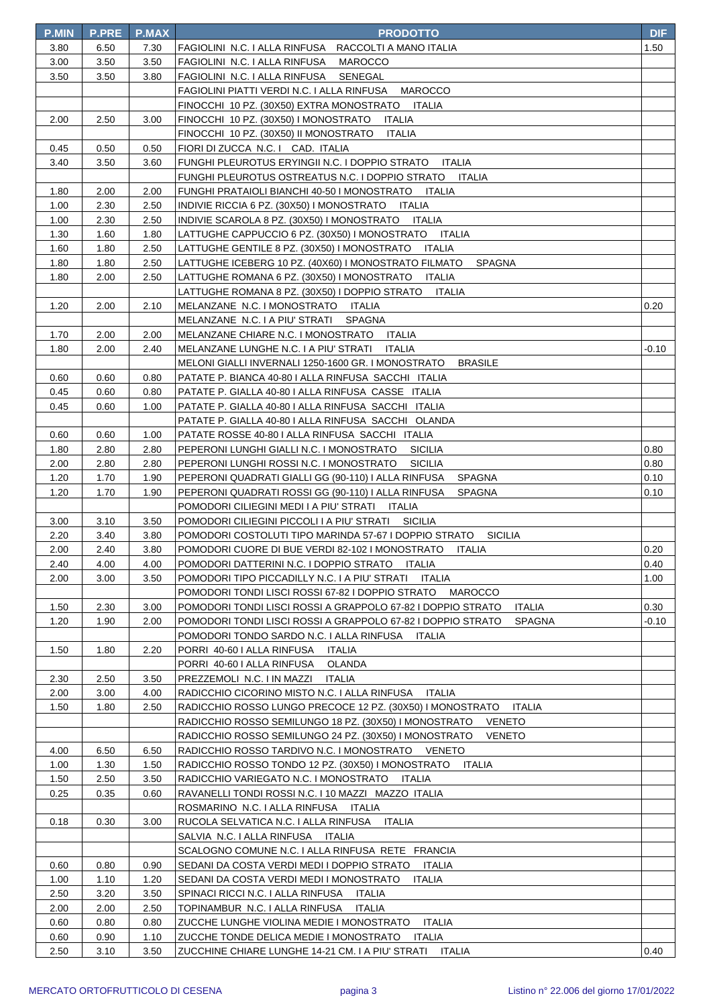| <b>P.MIN</b> | <b>P.PRE</b> | <b>P.MAX</b> | <b>PRODOTTO</b>                                                                                                                           | <b>DIF</b> |
|--------------|--------------|--------------|-------------------------------------------------------------------------------------------------------------------------------------------|------------|
| 3.80         | 6.50         | 7.30         | FAGIOLINI N.C. I ALLA RINFUSA RACCOLTI A MANO ITALIA                                                                                      | 1.50       |
| 3.00         | 3.50         | 3.50         | FAGIOLINI N.C. I ALLA RINFUSA<br>MAROCCO                                                                                                  |            |
| 3.50         | 3.50         | 3.80         | FAGIOLINI N.C. I ALLA RINFUSA SENEGAL                                                                                                     |            |
|              |              |              | FAGIOLINI PIATTI VERDI N.C. I ALLA RINFUSA MAROCCO                                                                                        |            |
|              |              |              | FINOCCHI 10 PZ. (30X50) EXTRA MONOSTRATO ITALIA                                                                                           |            |
| 2.00         | 2.50         | 3.00         | FINOCCHI 10 PZ. (30X50) I MONOSTRATO<br>ITALIA                                                                                            |            |
|              |              |              | FINOCCHI 10 PZ. (30X50) II MONOSTRATO<br>ITALIA                                                                                           |            |
| 0.45         | 0.50         | 0.50         | FIORI DI ZUCCA N.C. I CAD. ITALIA                                                                                                         |            |
| 3.40         | 3.50         | 3.60         | FUNGHI PLEUROTUS ERYINGII N.C. I DOPPIO STRATO ITALIA                                                                                     |            |
|              |              |              | FUNGHI PLEUROTUS OSTREATUS N.C. I DOPPIO STRATO ITALIA                                                                                    |            |
| 1.80         | 2.00         | 2.00         | FUNGHI PRATAIOLI BIANCHI 40-50 I MONOSTRATO ITALIA                                                                                        |            |
| 1.00         | 2.30         | 2.50         | INDIVIE RICCIA 6 PZ. (30X50) I MONOSTRATO ITALIA                                                                                          |            |
| 1.00         | 2.30         | 2.50         | INDIVIE SCAROLA 8 PZ. (30X50) I MONOSTRATO ITALIA                                                                                         |            |
| 1.30         | 1.60         | 1.80         | LATTUGHE CAPPUCCIO 6 PZ. (30X50) I MONOSTRATO ITALIA                                                                                      |            |
| 1.60         | 1.80         | 2.50         | LATTUGHE GENTILE 8 PZ. (30X50) I MONOSTRATO ITALIA                                                                                        |            |
| 1.80         | 1.80         | 2.50         | LATTUGHE ICEBERG 10 PZ. (40X60) I MONOSTRATO FILMATO<br><b>SPAGNA</b>                                                                     |            |
| 1.80         | 2.00         | 2.50         | LATTUGHE ROMANA 6 PZ. (30X50) I MONOSTRATO ITALIA                                                                                         |            |
|              |              |              | LATTUGHE ROMANA 8 PZ. (30X50) I DOPPIO STRATO<br><b>ITALIA</b>                                                                            |            |
| 1.20         | 2.00         | 2.10         | MELANZANE N.C. I MONOSTRATO ITALIA                                                                                                        | 0.20       |
|              |              |              | MELANZANE N.C. I A PIU' STRATI<br>SPAGNA                                                                                                  |            |
| 1.70         | 2.00         | 2.00         | MELANZANE CHIARE N.C. I MONOSTRATO ITALIA                                                                                                 |            |
| 1.80         | 2.00         | 2.40         | MELANZANE LUNGHE N.C. I A PIU' STRATI<br>ITALIA                                                                                           | -0.10      |
|              |              |              | MELONI GIALLI INVERNALI 1250-1600 GR. I MONOSTRATO<br><b>BRASILE</b>                                                                      |            |
| 0.60         | 0.60         | 0.80         | PATATE P. BIANCA 40-80   ALLA RINFUSA SACCHI ITALIA                                                                                       |            |
| 0.45         | 0.60         | 0.80         | PATATE P. GIALLA 40-80   ALLA RINFUSA CASSE ITALIA                                                                                        |            |
| 0.45         | 0.60         | 1.00         | PATATE P. GIALLA 40-80 I ALLA RINFUSA SACCHI ITALIA                                                                                       |            |
|              |              |              | PATATE P. GIALLA 40-80   ALLA RINFUSA SACCHI OLANDA                                                                                       |            |
| 0.60         | 0.60         | 1.00         | PATATE ROSSE 40-80   ALLA RINFUSA SACCHI ITALIA                                                                                           |            |
| 1.80         | 2.80         | 2.80         | PEPERONI LUNGHI GIALLI N.C. I MONOSTRATO<br><b>SICILIA</b>                                                                                | 0.80       |
| 2.00         | 2.80         | 2.80         | PEPERONI LUNGHI ROSSI N.C. I MONOSTRATO<br><b>SICILIA</b>                                                                                 | 0.80       |
| 1.20         | 1.70         | 1.90         | PEPERONI QUADRATI GIALLI GG (90-110) I ALLA RINFUSA<br>SPAGNA                                                                             | 0.10       |
| 1.20         | 1.70         | 1.90         | PEPERONI QUADRATI ROSSI GG (90-110) I ALLA RINFUSA<br>SPAGNA                                                                              | 0.10       |
|              |              |              | POMODORI CILIEGINI MEDI I A PIU' STRATI ITALIA                                                                                            |            |
| 3.00         | 3.10         | 3.50         | POMODORI CILIEGINI PICCOLI I A PIU' STRATI SICILIA                                                                                        |            |
| 2.20         | 3.40         | 3.80         | POMODORI COSTOLUTI TIPO MARINDA 57-67 I DOPPIO STRATO<br><b>SICILIA</b>                                                                   |            |
| 2.00         | 2.40         | 3.80         | POMODORI CUORE DI BUE VERDI 82-102 I MONOSTRATO<br>ITALIA                                                                                 | 0.20       |
| 2.40         | 4.00         | 4.00         | POMODORI DATTERINI N.C. I DOPPIO STRATO ITALIA                                                                                            | 0.40       |
| 2.00         | 3.00         | 3.50         | POMODORI TIPO PICCADILLY N.C. I A PIU' STRATI<br>ITALIA                                                                                   | 1.00       |
|              |              |              | POMODORI TONDI LISCI ROSSI 67-82 I DOPPIO STRATO<br>MAROCCO                                                                               |            |
| 1.50         | 2.30         | 3.00         | POMODORI TONDI LISCI ROSSI A GRAPPOLO 67-82 I DOPPIO STRATO<br><b>ITALIA</b>                                                              | 0.30       |
| 1.20         | 1.90         | 2.00         | POMODORI TONDI LISCI ROSSI A GRAPPOLO 67-82 I DOPPIO STRATO<br><b>SPAGNA</b>                                                              | -0.10      |
|              |              |              | POMODORI TONDO SARDO N.C. I ALLA RINFUSA ITALIA                                                                                           |            |
| 1.50         | 1.80         | 2.20         | PORRI 40-60 I ALLA RINFUSA<br>ITALIA                                                                                                      |            |
|              |              |              | PORRI 40-60 I ALLA RINFUSA<br><b>OLANDA</b>                                                                                               |            |
| 2.30         | 2.50         | 3.50         | PREZZEMOLI N.C. I IN MAZZI<br>ITALIA                                                                                                      |            |
| 2.00         | 3.00         | 4.00<br>2.50 | RADICCHIO CICORINO MISTO N.C. I ALLA RINFUSA<br>ITALIA<br>ITALIA                                                                          |            |
| 1.50         | 1.80         |              | RADICCHIO ROSSO LUNGO PRECOCE 12 PZ. (30X50) I MONOSTRATO                                                                                 |            |
|              |              |              | RADICCHIO ROSSO SEMILUNGO 18 PZ. (30X50) I MONOSTRATO<br>VENETO<br>RADICCHIO ROSSO SEMILUNGO 24 PZ. (30X50) I MONOSTRATO<br><b>VENETO</b> |            |
| 4.00         | 6.50         | 6.50         | RADICCHIO ROSSO TARDIVO N.C. I MONOSTRATO VENETO                                                                                          |            |
| 1.00         | 1.30         | 1.50         | RADICCHIO ROSSO TONDO 12 PZ. (30X50) I MONOSTRATO<br>ITALIA                                                                               |            |
| 1.50         | 2.50         | 3.50         | RADICCHIO VARIEGATO N.C. I MONOSTRATO<br>ITALIA                                                                                           |            |
| 0.25         | 0.35         | 0.60         | RAVANELLI TONDI ROSSI N.C. I 10 MAZZI MAZZO ITALIA                                                                                        |            |
|              |              |              | ROSMARINO N.C. I ALLA RINFUSA<br>ITALIA                                                                                                   |            |
| 0.18         | 0.30         | 3.00         | RUCOLA SELVATICA N.C. I ALLA RINFUSA<br>ITALIA                                                                                            |            |
|              |              |              | SALVIA N.C. I ALLA RINFUSA ITALIA                                                                                                         |            |
|              |              |              | SCALOGNO COMUNE N.C. I ALLA RINFUSA RETE FRANCIA                                                                                          |            |
| 0.60         | 0.80         | 0.90         | SEDANI DA COSTA VERDI MEDI I DOPPIO STRATO<br>ITALIA                                                                                      |            |
| 1.00         | 1.10         | 1.20         | SEDANI DA COSTA VERDI MEDI I MONOSTRATO<br>ITALIA                                                                                         |            |
| 2.50         | 3.20         | 3.50         | SPINACI RICCI N.C. I ALLA RINFUSA<br>ITALIA                                                                                               |            |
| 2.00         | 2.00         | 2.50         | TOPINAMBUR N.C. I ALLA RINFUSA<br><b>ITALIA</b>                                                                                           |            |
| 0.60         | 0.80         | 0.80         | ZUCCHE LUNGHE VIOLINA MEDIE I MONOSTRATO<br>ITALIA                                                                                        |            |
| 0.60         | 0.90         | 1.10         | ZUCCHE TONDE DELICA MEDIE I MONOSTRATO<br><b>ITALIA</b>                                                                                   |            |
| 2.50         | 3.10         | 3.50         | ZUCCHINE CHIARE LUNGHE 14-21 CM. I A PIU' STRATI ITALIA                                                                                   | 0.40       |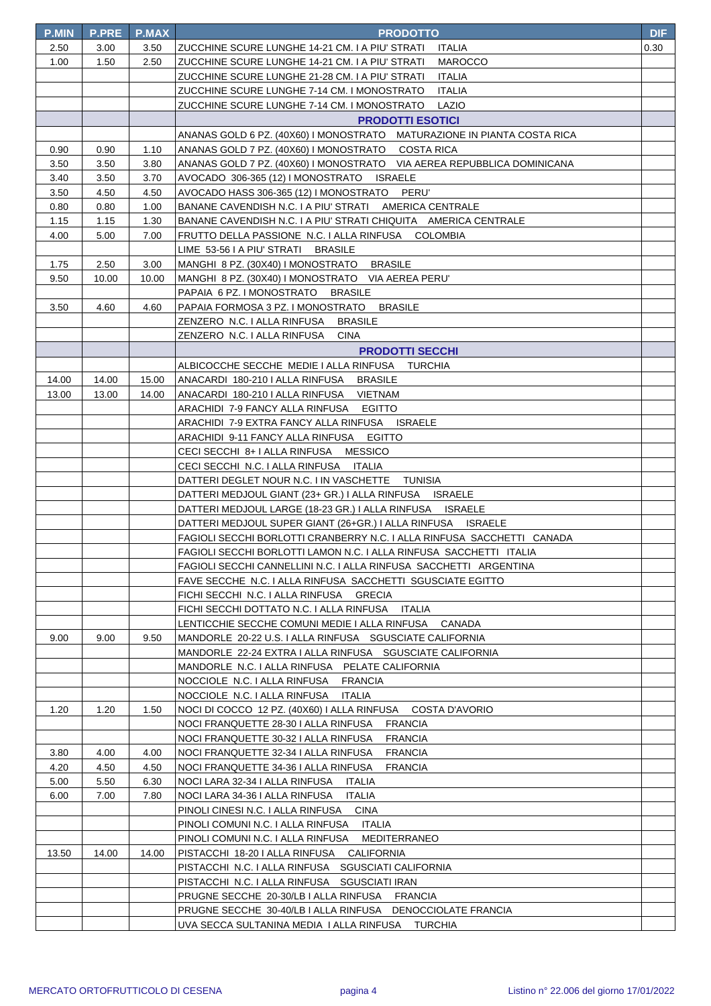| <b>P.MIN</b> | <b>P.PRE</b> | <b>P.MAX</b> | <b>PRODOTTO</b>                                                         | <b>DIF</b> |
|--------------|--------------|--------------|-------------------------------------------------------------------------|------------|
| 2.50         | 3.00         | 3.50         | ZUCCHINE SCURE LUNGHE 14-21 CM. I A PIU' STRATI<br>ITALIA               | 0.30       |
| 1.00         | 1.50         | 2.50         | <b>MAROCCO</b><br>ZUCCHINE SCURE LUNGHE 14-21 CM. I A PIU' STRATI       |            |
|              |              |              | ZUCCHINE SCURE LUNGHE 21-28 CM. I A PIU' STRATI<br>ITALIA               |            |
|              |              |              | ZUCCHINE SCURE LUNGHE 7-14 CM. I MONOSTRATO<br><b>ITALIA</b>            |            |
|              |              |              | ZUCCHINE SCURE LUNGHE 7-14 CM. I MONOSTRATO<br>LAZIO                    |            |
|              |              |              | <b>PRODOTTI ESOTICI</b>                                                 |            |
|              |              |              | ANANAS GOLD 6 PZ. (40X60) I MONOSTRATO MATURAZIONE IN PIANTA COSTA RICA |            |
| 0.90         | 0.90         | 1.10         | ANANAS GOLD 7 PZ. (40X60) I MONOSTRATO COSTA RICA                       |            |
| 3.50         | 3.50         | 3.80         | ANANAS GOLD 7 PZ. (40X60) I MONOSTRATO VIA AEREA REPUBBLICA DOMINICANA  |            |
| 3.40         | 3.50         | 3.70         | AVOCADO 306-365 (12) I MONOSTRATO ISRAELE                               |            |
| 3.50         | 4.50         | 4.50         | AVOCADO HASS 306-365 (12) I MONOSTRATO PERU'                            |            |
| 0.80         | 0.80         | 1.00         | BANANE CAVENDISH N.C. I A PIU' STRATI AMERICA CENTRALE                  |            |
| 1.15         | 1.15         | 1.30         | BANANE CAVENDISH N.C. I A PIU' STRATI CHIQUITA AMERICA CENTRALE         |            |
| 4.00         | 5.00         | 7.00         | FRUTTO DELLA PASSIONE N.C. I ALLA RINFUSA COLOMBIA                      |            |
|              |              |              | LIME 53-56 I A PIU' STRATI BRASILE                                      |            |
| 1.75         | 2.50         | 3.00         | MANGHI 8 PZ. (30X40) I MONOSTRATO BRASILE                               |            |
| 9.50         | 10.00        | 10.00        | MANGHI 8 PZ. (30X40) I MONOSTRATO VIA AEREA PERU'                       |            |
|              |              |              | PAPAIA 6 PZ. I MONOSTRATO BRASILE                                       |            |
| 3.50         | 4.60         | 4.60         | PAPAIA FORMOSA 3 PZ. I MONOSTRATO BRASILE                               |            |
|              |              |              | ZENZERO N.C. I ALLA RINFUSA BRASILE                                     |            |
|              |              |              | ZENZERO N.C. I ALLA RINFUSA<br><b>CINA</b>                              |            |
|              |              |              | <b>PRODOTTI SECCHI</b>                                                  |            |
|              |              |              | ALBICOCCHE SECCHE MEDIE I ALLA RINFUSA TURCHIA                          |            |
| 14.00        | 14.00        | 15.00        | ANACARDI 180-210 I ALLA RINFUSA BRASILE                                 |            |
| 13.00        | 13.00        | 14.00        | ANACARDI 180-210 I ALLA RINFUSA VIETNAM                                 |            |
|              |              |              | EGITTO<br>ARACHIDI 7-9 FANCY ALLA RINFUSA                               |            |
|              |              |              | ARACHIDI 7-9 EXTRA FANCY ALLA RINFUSA ISRAELE                           |            |
|              |              |              | ARACHIDI 9-11 FANCY ALLA RINFUSA EGITTO                                 |            |
|              |              |              | CECI SECCHI 8+ I ALLA RINFUSA MESSICO                                   |            |
|              |              |              | CECI SECCHI N.C. I ALLA RINFUSA ITALIA                                  |            |
|              |              |              | DATTERI DEGLET NOUR N.C. I IN VASCHETTE TUNISIA                         |            |
|              |              |              | DATTERI MEDJOUL GIANT (23+ GR.) I ALLA RINFUSA ISRAELE                  |            |
|              |              |              | DATTERI MEDJOUL LARGE (18-23 GR.) I ALLA RINFUSA ISRAELE                |            |
|              |              |              | DATTERI MEDJOUL SUPER GIANT (26+GR.) I ALLA RINFUSA ISRAELE             |            |
|              |              |              | FAGIOLI SECCHI BORLOTTI CRANBERRY N.C. I ALLA RINFUSA SACCHETTI CANADA  |            |
|              |              |              | FAGIOLI SECCHI BORLOTTI LAMON N.C. I ALLA RINFUSA SACCHETTI ITALIA      |            |
|              |              |              | FAGIOLI SECCHI CANNELLINI N.C. I ALLA RINFUSA SACCHETTI ARGENTINA       |            |
|              |              |              | FAVE SECCHE N.C. I ALLA RINFUSA SACCHETTI SGUSCIATE EGITTO              |            |
|              |              |              | FICHI SECCHI N.C. I ALLA RINFUSA GRECIA                                 |            |
|              |              |              | FICHI SECCHI DOTTATO N.C. I ALLA RINFUSA<br>ITALIA                      |            |
|              |              |              | LENTICCHIE SECCHE COMUNI MEDIE I ALLA RINFUSA CANADA                    |            |
| 9.00         | 9.00         | 9.50         | MANDORLE 20-22 U.S. I ALLA RINFUSA SGUSCIATE CALIFORNIA                 |            |
|              |              |              | MANDORLE 22-24 EXTRA I ALLA RINFUSA SGUSCIATE CALIFORNIA                |            |
|              |              |              | MANDORLE N.C. I ALLA RINFUSA PELATE CALIFORNIA                          |            |
|              |              |              | NOCCIOLE N.C. I ALLA RINFUSA<br><b>FRANCIA</b>                          |            |
|              |              |              | NOCCIOLE N.C. I ALLA RINFUSA<br><b>ITALIA</b>                           |            |
| 1.20         | 1.20         | 1.50         | NOCI DI COCCO 12 PZ. (40X60) I ALLA RINFUSA<br>COSTA D'AVORIO           |            |
|              |              |              | NOCI FRANQUETTE 28-30 I ALLA RINFUSA<br><b>FRANCIA</b>                  |            |
|              |              |              | NOCI FRANQUETTE 30-32 I ALLA RINFUSA<br><b>FRANCIA</b>                  |            |
| 3.80         | 4.00         | 4.00         | NOCI FRANQUETTE 32-34 I ALLA RINFUSA<br><b>FRANCIA</b>                  |            |
| 4.20         | 4.50         | 4.50         | NOCI FRANQUETTE 34-36 I ALLA RINFUSA<br><b>FRANCIA</b>                  |            |
| 5.00         | 5.50         | 6.30         | NOCI LARA 32-34 I ALLA RINFUSA<br>ITALIA                                |            |
| 6.00         | 7.00         | 7.80         | NOCI LARA 34-36 I ALLA RINFUSA<br>ITALIA                                |            |
|              |              |              | PINOLI CINESI N.C. I ALLA RINFUSA<br>CINA                               |            |
|              |              |              | PINOLI COMUNI N.C. I ALLA RINFUSA ITALIA                                |            |
|              |              |              | PINOLI COMUNI N.C. I ALLA RINFUSA MEDITERRANEO                          |            |
| 13.50        | 14.00        | 14.00        | PISTACCHI 18-20 I ALLA RINFUSA CALIFORNIA                               |            |
|              |              |              | PISTACCHI N.C. I ALLA RINFUSA SGUSCIATI CALIFORNIA                      |            |
|              |              |              | PISTACCHI N.C. I ALLA RINFUSA SGUSCIATI IRAN                            |            |
|              |              |              | PRUGNE SECCHE 20-30/LB I ALLA RINFUSA FRANCIA                           |            |
|              |              |              | PRUGNE SECCHE 30-40/LB I ALLA RINFUSA DENOCCIOLATE FRANCIA              |            |
|              |              |              | UVA SECCA SULTANINA MEDIA I ALLA RINFUSA     TURCHIA                    |            |